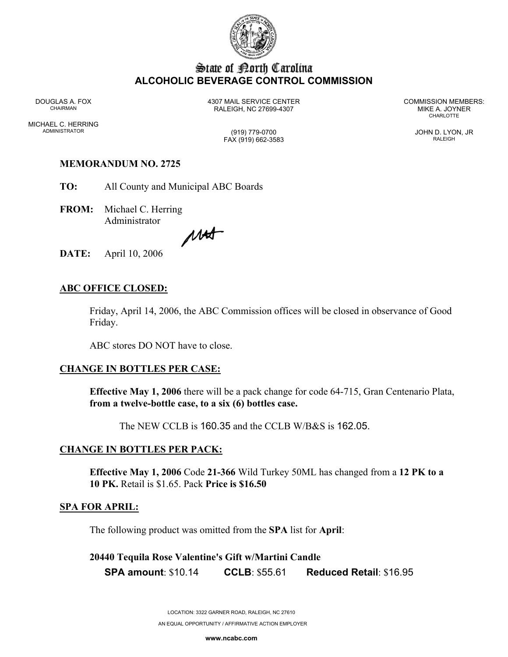

## State of Borth Carolina **ALCOHOLIC BEVERAGE CONTROL COMMISSION**

MICHAEL C. HERRING ADMINISTRATOR (919) 779-0700 JOHN D. LYON, JR

DOUGLAS A. FOX 4307 MAIL SERVICE CENTER COMMISSION MEMBERS: CHAIRMAN RALEIGH, NC 27699-4307 MIKE A. JOYNER

**CHARLOTTE** 

FAX (919) 662-3583 RALEIGH

# **MEMORANDUM NO. 2725**

**TO:** All County and Municipal ABC Boards

**FROM:** Michael C. Herring Administrator

MAT

**DATE:** April 10, 2006

### **ABC OFFICE CLOSED:**

Friday, April 14, 2006, the ABC Commission offices will be closed in observance of Good Friday.

ABC stores DO NOT have to close.

#### **CHANGE IN BOTTLES PER CASE:**

**Effective May 1, 2006** there will be a pack change for code 64-715, Gran Centenario Plata, **from a twelve-bottle case, to a six (6) bottles case.**

The NEW CCLB is 160.35 and the CCLB W/B&S is 162.05.

#### **CHANGE IN BOTTLES PER PACK:**

**Effective May 1, 2006** Code **21-366** Wild Turkey 50ML has changed from a **12 PK to a 10 PK.** Retail is \$1.65. Pack **Price is \$16.50** 

#### **SPA FOR APRIL:**

The following product was omitted from the **SPA** list for **April**:

# **20440 Tequila Rose Valentine's Gift w/Martini Candle SPA amount**: \$10.14 **CCLB**: \$55.61 **Reduced Retail**: \$16.95

LOCATION: 3322 GARNER ROAD, RALEIGH, NC 27610 AN EQUAL OPPORTUNITY / AFFIRMATIVE ACTION EMPLOYER

**www.ncabc.com**